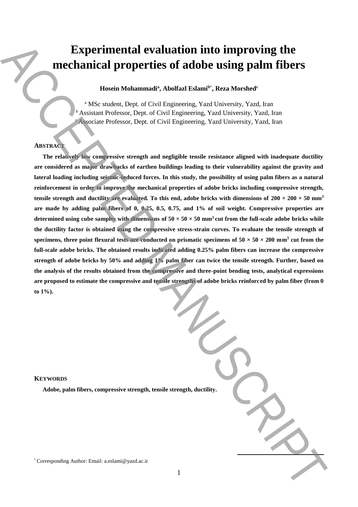# **Experimental evaluation into improving the mechanical properties of adobe using palm fibers**

# **Hosein Mohammadi<sup>a</sup> , Abolfazl Eslami<sup>b</sup>**\* **, Reza Morshed<sup>c</sup>**

<sup>a</sup> MSc student, Dept. of Civil Engineering, Yazd University, Yazd, Iran <sup>b</sup> Assistant Professor, Dept. of Civil Engineering, Yazd University, Yazd, Iran  $\epsilon$ Associate Professor, Dept. of Civil Engineering, Yazd University, Yazd, Iran

## **ABSTRACT**

**The relatively low compressive strength and negligible tensile resistance aligned with inadequate ductility are considered as major drawbacks of earthen buildings leading to their vulnerability against the gravity and lateral loading including seismic-induced forces. In this study, the possibility of using palm fibers as a natural reinforcement in order to improve the mechanical properties of adobe bricks including compressive strength, tensile strength and ductility are evaluated.** To this end, adobe bricks with dimensions of  $200 \times 200 \times 50$  mm<sup>3</sup> **are made by adding palm fibers of 0, 0.25, 0.5, 0.75, and 1% of soil weight. Compressive properties are**  determined using cube samples with dimensions of  $50 \times 50 \times 50$  mm<sup>3</sup> cut from the full-scale adobe bricks while **the ductility factor is obtained using the compressive stress-strain curves. To evaluate the tensile strength of**  specimens, three point flexural tests are conducted on prismatic specimens of  $50 \times 50 \times 200$  mm<sup>3</sup> cut from the **full-scale adobe bricks. The obtained results indicated adding 0.25% palm fibers can increase the compressive strength of adobe bricks by 50% and adding 1% palm fiber can twice the tensile strength. Further, based on the analysis of the results obtained from the compressive and three-point bending tests, analytical expressions are proposed to estimate the compressive and tensile strengths of adobe bricks reinforced by palm fiber (from 0 to 1%).** Experimental evaluation into improving the<br>
recharacter appropriate of adobe using palm fibers<br>  $\frac{1}{2}$ . Notes website Robert Empty and Robert Empty and Robert Empty and Robert Empty and Robert Empty and Authors:<br>  $\frac{1$ 

# **KEYWORDS**

**Adobe, palm fibers, compressive strength, tensile strength, ductility.**

|  |  | 'Corresponding Author: Email: a.eslami@yazd.ac.i |  |
|--|--|--------------------------------------------------|--|
|  |  |                                                  |  |

**.**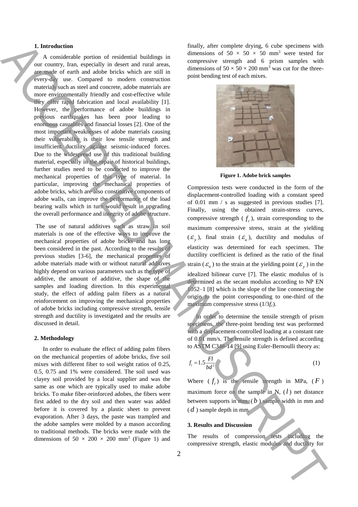## **1. Introduction**

A considerable portion of residential buildings in our country, Iran, especially in desert and rural areas, are made of earth and adobe bricks which are still in every-day use. Compared to modern construction materials such as steel and concrete, adobe materials are more environmentally friendly and cost-effective while they offer rapid fabrication and local availability [1]. However, the performance of adobe buildings in previous earthquakes has been poor leading to enormous casualties and financial losses [2]. One of the most important weaknesses of adobe materials causing their vulnerability is their low tensile strength and insufficient ductility against seismic-induced forces. Due to the widespread use of this traditional building material, especially in the repair of historical buildings, further studies need to be conducted to improve the mechanical properties of this type of material. In particular, improving the mechanical properties of adobe bricks, which are also constitutive components of adobe walls, can improve the performance of the load bearing walls which in turn would result in upgrading the overall performance and integrity of adobe structure. L. Interesting the priori and the strength in the strength strength of the strength in the strength in the strength in the strength in the strength in the strength in the strength in the strength in the strength in the st

The use of natural additives such as straw in soil materials is one of the effective ways to improve the mechanical properties of adobe bricks and has long been considered in the past. According to the results of previous studies [3-6], the mechanical properties of adobe materials made with or without natural additives highly depend on various parameters such as the type of additive, the amount of additive, the shape of the samples and loading direction. In this experimental study, the effect of adding palm fibers as a natural reinforcement on improving the mechanical properties of adobe bricks including compressive strength, tensile strength and ductility is investigated and the results are discussed in detail.

## **2. Methodology**

In order to evaluate the effect of adding palm fibers on the mechanical properties of adobe bricks, five soil mixes with different fiber to soil weight ratios of 0.25, 0.5, 0.75 and 1% were considered. The soil used was clayey soil provided by a local supplier and was the same as one which are typically used to make adobe bricks. To make fiber-reinforced adobes, the fibers were first added to the dry soil and then water was added before it is covered by a plastic sheet to prevent evaporation. After 3 days, the paste was trampled and the adobe samples were molded by a mason according to traditional methods. The bricks were made with the dimensions of  $50 \times 200 \times 200$  mm<sup>3</sup> (Figure 1) and

finally, after complete drying, 6 cube specimens with dimensions of  $50 \times 50 \times 50$  mm<sup>3</sup> were tested for compressive strength and 6 prism samples with dimensions of  $50 \times 50 \times 200$  mm<sup>3</sup> was cut for the threepoint bending test of each mixes.



**Figure 1. Adobe brick samples**

Compression tests were conducted in the form of the displacement-controlled loading with a constant speed of 0.01 mm / s as suggested in previous studies [7]. Finally, using the obtained strain-stress curves, compressive strength  $(f_c)$ , strain corresponding to the maximum compressive stress, strain at the yielding  $(\mathcal{E}_y)$ , final strain  $(\mathcal{E}_u)$ , ductility and modulus of elasticity was determined for each specimen. The ductility coefficient is defined as the ratio of the final strain ( $\varepsilon_u$ ) to the strain at the yielding point ( $\varepsilon_y$ ) in the idealized bilinear curve [7]. The elastic modulus of is determined as the secant modulus according to NP EN 1052–1 [8] which is the slope of the line connecting the origin to the point corresponding to one-third of the maximum compressive stress (1/3*fc*).

In order to determine the tensile strength of prism specimens, the three-point bending test was performed with a displacement-controlled loading at a constant rate of 0.01 mm/s. The tensile strength is defined according to ASTM C348-14 [9] using Euler-Bernoulli theory as:

$$
f_t = 1.5 \frac{Fl}{bd^2} \tag{1}
$$

Where  $(f_t)$  is the tensile strength in MPa,  $(F)$ maximum force on the sample in  $N$ ,  $(l)$  net distance between supports in mm,  $(b)$  sample width in mm and  $(d)$  sample depth in mm.

### **3. Results and Discussion**

The results of compression tests including the